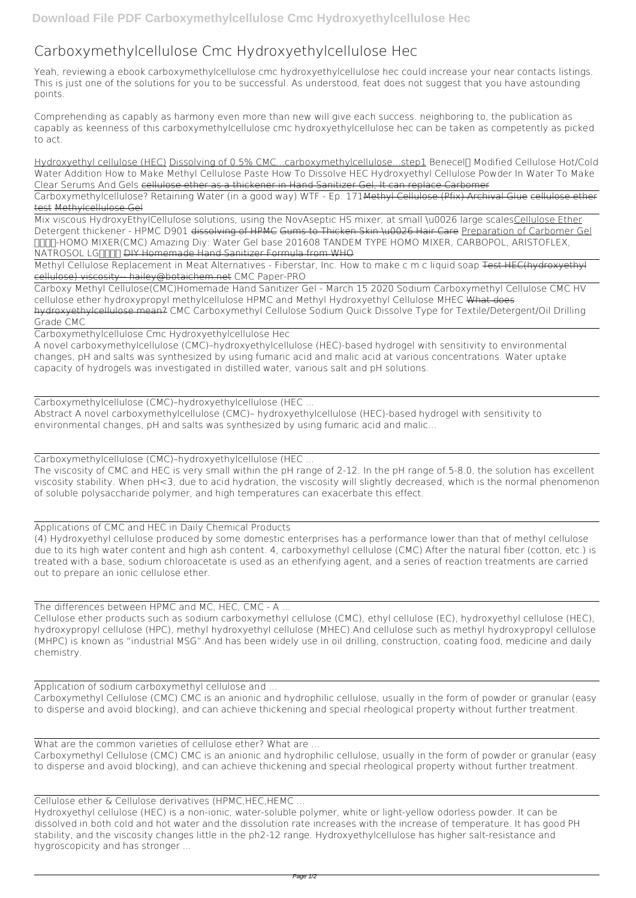## **Carboxymethylcellulose Cmc Hydroxyethylcellulose Hec**

Yeah, reviewing a ebook **carboxymethylcellulose cmc hydroxyethylcellulose hec** could increase your near contacts listings. This is just one of the solutions for you to be successful. As understood, feat does not suggest that you have astounding points.

Comprehending as capably as harmony even more than new will give each success. neighboring to, the publication as capably as keenness of this carboxymethylcellulose cmc hydroxyethylcellulose hec can be taken as competently as picked to act.

Mix viscous HydroxyEthylCellulose solutions, using the NovAseptic HS mixer, at small \u0026 large scalesCellulose Ether **Detergent thickener - HPMC D901** dissolving of HPMC Gums to Thicken Skin \u0026 Hair Care Preparation of Carbomer Gel *호모믹서-HOMO MIXER(CMC) Amazing Diy: Water Gel base* 201608 TANDEM TYPE HOMO MIXER, CARBOPOL, ARISTOFLEX, NATROSOL LGOOD <del>DIY Homemade Hand Sanitizer Formula from WHO</del>

Hydroxyethyl cellulose (HEC) Dissolving of 0.5% CMC...carboxymethylcellulose...step1 **Benecel™ Modified Cellulose Hot/Cold Water Addition** How to Make Methyl Cellulose Paste How To Dissolve HEC Hydroxyethyl Cellulose Powder In Water To Make Clear Serums And Gels cellulose ether as a thickener in Hand Sanitizer Gel, It can replace Carbomer

Methyl Cellulose Replacement in Meat Alternatives - Fiberstar, Inc. How to make c m c liquid soap Test HEC(hydroxyethyl cellulose) viscosity-- hailey@botaichem.net *CMC Paper-PRO*

Carboxymethylcellulose? Retaining Water (in a good way) WTF - Ep. 171Methyl Cellulose (Pfix) Archival Glue cellulose ether test Methylcellulose Gel

Carboxy Methyl Cellulose(CMC)**Homemade Hand Sanitizer Gel - March 15 2020 Sodium Carboxymethyl Cellulose CMC HV cellulose ether hydroxypropyl methylcellulose HPMC and Methyl Hydroxyethyl Cellulose MHEC** What does hydroxyethylcellulose mean? **CMC Carboxymethyl Cellulose Sodium Quick Dissolve Type for Textile/Detergent/Oil Drilling Grade CMC**

Carboxymethylcellulose Cmc Hydroxyethylcellulose Hec

A novel carboxymethylcellulose (CMC)–hydroxyethylcellulose (HEC)-based hydrogel with sensitivity to environmental changes, pH and salts was synthesized by using fumaric acid and malic acid at various concentrations. Water uptake capacity of hydrogels was investigated in distilled water, various salt and pH solutions.

Carboxymethylcellulose (CMC)–hydroxyethylcellulose (HEC ...

Abstract A novel carboxymethylcellulose (CMC)– hydroxyethylcellulose (HEC)-based hydrogel with sensitivity to environmental changes, pH and salts was synthesized by using fumaric acid and malic...

Carboxymethylcellulose (CMC)–hydroxyethylcellulose (HEC ...

The viscosity of CMC and HEC is very small within the pH range of 2-12. In the pH range of.5-8.0, the solution has excellent viscosity stability. When pH<3, due to acid hydration, the viscosity will slightly decreased, which is the normal phenomenon of soluble polysaccharide polymer, and high temperatures can exacerbate this effect.

Applications of CMC and HEC in Daily Chemical Products

(4) Hydroxyethyl cellulose produced by some domestic enterprises has a performance lower than that of methyl cellulose due to its high water content and high ash content. 4, carboxymethyl cellulose (CMC) After the natural fiber (cotton, etc.) is treated with a base, sodium chloroacetate is used as an etherifying agent, and a series of reaction treatments are carried out to prepare an ionic cellulose ether.

The differences between HPMC and MC, HEC, CMC - A ...

Cellulose ether products such as sodium carboxymethyl cellulose (CMC), ethyl cellulose (EC), hydroxyethyl cellulose (HEC), hydroxypropyl cellulose (HPC), methyl hydroxyethyl cellulose (MHEC).And cellulose such as methyl hydroxypropyl cellulose (MHPC) is known as "industrial MSG".And has been widely use in oil drilling, construction, coating food, medicine and daily chemistry.

Application of sodium carboxymethyl cellulose and ...

Carboxymethyl Cellulose (CMC) CMC is an anionic and hydrophilic cellulose, usually in the form of powder or granular (easy to disperse and avoid blocking), and can achieve thickening and special rheological property without further treatment.

What are the common varieties of cellulose ether? What are ...

Carboxymethyl Cellulose (CMC) CMC is an anionic and hydrophilic cellulose, usually in the form of powder or granular (easy to disperse and avoid blocking), and can achieve thickening and special rheological property without further treatment.

Cellulose ether & Cellulose derivatives (HPMC,HEC,HEMC ...

Hydroxyethyl cellulose (HEC) is a non-ionic, water-soluble polymer, white or light-yellow odorless powder. It can be dissolved in both cold and hot water and the dissolution rate increases with the increase of temperature. It has good PH stability, and the viscosity changes little in the ph2-12 range. Hydroxyethylcellulose has higher salt-resistance and hygroscopicity and has stronger ...